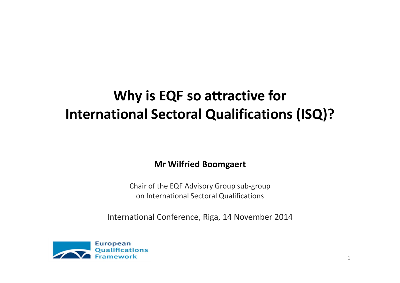### **Why is EQF so attractive for International Sectoral Qualifications (ISQ)?**

**Mr Wilfried Boomgaert**

Chair of the EQF Advisory Group sub-groupon International Sectoral Qualifications

International Conference, Riga, 14 November 2014

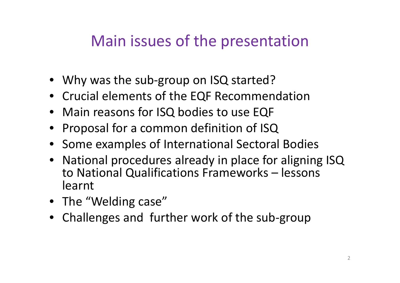### Main issues of the presentation

- Why was the sub-group on ISQ started?
- Crucial elements of the EQF Recommendation
- Main reasons for ISQ bodies to use EQF
- Proposal for a common definition of ISQ
- Some examples of International Sectoral Bodies
- National procedures already in place for aligning ISQ to National Qualifications Frameworks – lessons learnt
- The "Welding case"
- Challenges and further work of the sub-group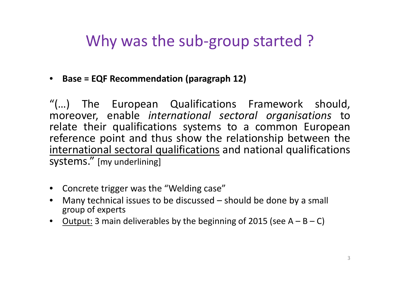### Why was the sub-group started?

• **Base = EQF Recommendation (paragraph 12)**

"(…) The European Qualifications Framework should, moreover, enable *international sectoral organisations* to relate their qualifications systems to <sup>a</sup> common Europeanreference point and thus show the relationship between the<br>international sectoral qualifications and national qualifications international sectoral qualifications and national qualifications systems." [my underlining]

- Concrete trigger was the "Welding case"
- Many technical issues to be discussed should be done by a small  $\bullet$ group of experts
- Output: 3 main deliverables by the beginning of 2015 (see  $A B C$ )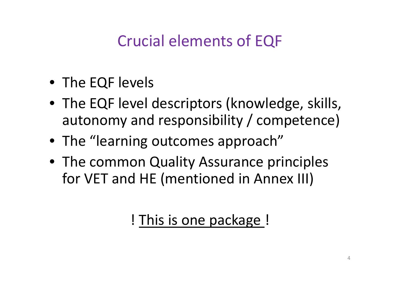# Crucial elements of EQF

- The EQF levels
- The EQF level descriptors (knowledge, skills, autonomy and responsibility / competence)
- The "learning outcomes approach"
- The common Quality Assurance principles for VET and HE (mentioned in Annex III)

! This is one package !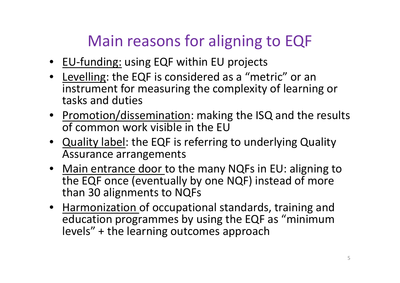# Main reasons for aligning to EQF

- EU-funding: using EQF within EU projects
- Levelling: the EQF is considered as a "metric" or an instrument for measuring the complexity of learning or tasks and duties
- Promotion/dissemination: making the ISQ and the results of common work visible in the EU
- **Quality label**: the EQF is referring to underlying Quality Assurance arrangements
- Main entrance door to the many NQFs in EU: aligning to the EQF once (eventually by one NQF) instead of more than 30 alignments to NQFs
- Harmonization of occupational standards, training and education programmes by using the EQF as "minimum levels" + the learning outcomes approach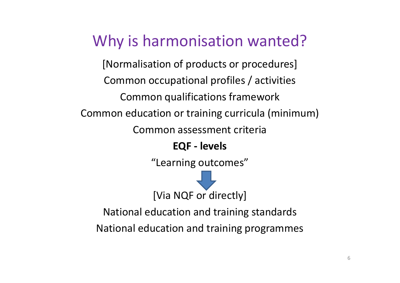### Why is harmonisation wanted?

[Normalisation of products or procedures]Common occupational profiles / activitiesCommon qualifications frameworkCommon education or training curricula (minimum)Common assessment criteria**EQF - levels**

"Learning outcomes"

[Via NQF or directly]

National education and training standards

National education and training programmes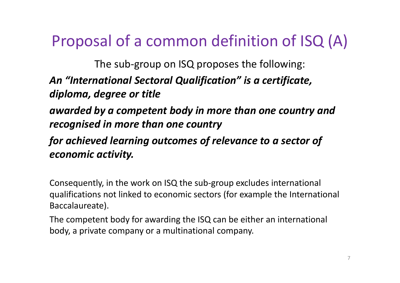### Proposal of a common definition of ISQ (A)

The sub-group on ISQ proposes the following:

#### *An "International Sectoral Qualification" is a certificate, diploma, degree or title*

*awarded by a competent body in more than one country and recognised in more than one country* 

*for achieved learning outcomes of relevance to a sector of economic activity.*

Consequently, in the work on ISQ the sub-group excludes international qualifications not linked to economic sectors (for example the International Baccalaureate).

The competent body for awarding the ISQ can be either an international body, a private company or a multinational company.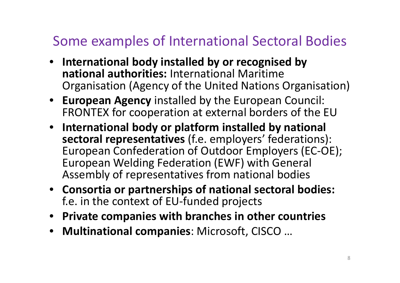### Some examples of International Sectoral Bodies

- **International body installed by or recognised by national authorities:** International Maritime Organisation (Agency of the United Nations Organisation)
- **European Agency** installed by the European Council: FRONTEX for cooperation at external borders of the EU
- **International body or platform installed by national sectoral representatives** (f.e. employers' federations): European Confederation of Outdoor Employers (EC-OE); European Welding Federation (EWF) with General Assembly of representatives from national bodies
- **Consortia or partnerships of national sectoral bodies:**  f.e. in the context of EU-funded projects
- **Private companies with branches in other countries**
- **Multinational companies**: Microsoft, CISCO …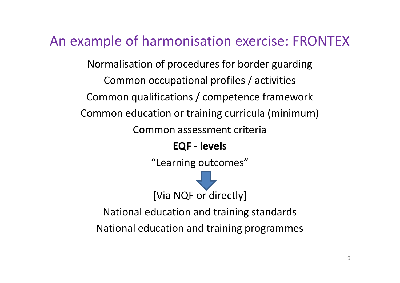#### An example of harmonisation exercise: FRONTEX

Normalisation of procedures for border guarding Common occupational profiles / activitiesCommon qualifications / competence frameworkCommon education or training curricula (minimum)Common assessment criteria

**EQF - levels**

"Learning outcomes"



National education and training standards

National education and training programmes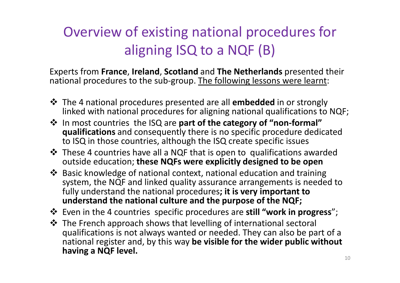### Overview of existing national procedures for aligning ISQ to a NQF (B)

Experts from **France**, **Ireland**, **Scotland** and **The Netherlands** presented their national procedures to the sub-group. The following lessons were learnt:

- **<sup>◆</sup>** The 4 national procedures presented are all **embedded** in or strongly<br>linked with national procedures for aligning national qualifications to linked with national procedures for aligning national qualifications to NQF;
- **In most countries the ISQ are part of the category of "non-formal"**<br>**qualifications** and consequently there is no specific procedure dedic **qualifications** and consequently there is no specific procedure dedicated to ISQ in those countries, although the ISQ create specific issues
- **Extra These 4 countries have all a NQF that is open to qualifications awarded <br>outside education: these NOFs were explicitly designed to be open** outside education; **these NQFs were explicitly designed to be open**
- **Exage 36 Sasic knowledge of national context, national education and training**<br>system, the NOF and linked quality assurance arrangements is needed system, the NQF and linked quality assurance arrangements is needed to fully understand the national procedures**; it is very important to understand the national culture and the purpose of the NQF;**
- **<sup>❖</sup>** Even in the 4 countries specific procedures are **still "work in progress**";<br><sup>◆</sup> The Erench annreach shows that lovelling of international sectoral
- The French approach shows that levelling of international sectoral<br>qualifications is not always wanted or needed. They can also be pa qualifications is not always wanted or needed. They can also be part of a national register and, by this way **be visible for the wider public without having a NQF level.**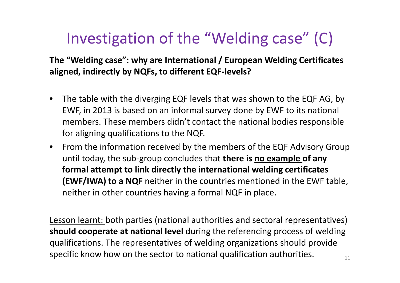# Investigation of the "Welding case" (C)

**The "Welding case": why are International / European Welding Certificates aligned, indirectly by NQFs, to different EQF-levels?**

- $\bullet$  The table with the diverging EQF levels that was shown to the EQF AG, by EWF, in 2013 is based on an informal survey done by EWF to its national members. These members didn't contact the national bodies responsible for aligning qualifications to the NQF.
- From the information received by the members of the EQF Advisory Group until today, the sub-group concludes that **there is no example of any formal attempt to link directly the international welding certificates (EWF/IWA) to a NQF** neither in the countries mentioned in the EWF table, neither in other countries having a formal NQF in place.

Lesson learnt: both parties (national authorities and sectoral representatives) **should cooperate at national level** during the referencing process of welding qualifications. The representatives of welding organizations should provide specific know how on the sector to national qualification authorities.  $\frac{1}{11}$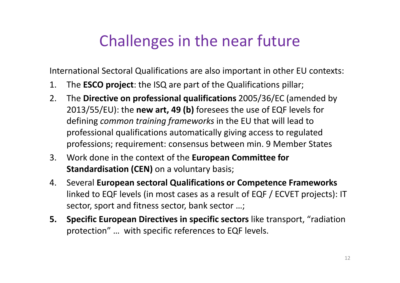### Challenges in the near future

International Sectoral Qualifications are also important in other EU contexts:

- 1. The **ESCO project**: the ISQ are part of the Qualifications pillar;
- 2. The **Directive on professional qualifications** 2005/36/EC (amended by 2013/55/EU): the **new art, 49 (b)** foresees the use of EQF levels for defining *common training frameworks* in the EU that will lead to professional qualifications automatically giving access to regulated professions; requirement: consensus between min. 9 Member States
- 3. Work done in the context of the **European Committee for Standardisation (CEN)** on a voluntary basis;
- 4. Several **European sectoral Qualifications or Competence Frameworks**  linked to EQF levels (in most cases as a result of EQF / ECVET projects): IT sector, sport and fitness sector, bank sector …;
- **5. Specific European Directives in specific sectors** like transport, "radiation protection" … with specific references to EQF levels.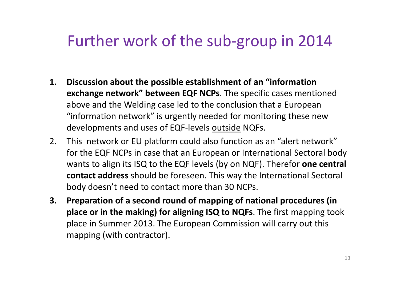### Further work of the sub-group in 2014

- **1. Discussion about the possible establishment of an "information exchange network" between EQF NCPs**. The specific cases mentioned above and the Welding case led to the conclusion that a European "information network" is urgently needed for monitoring these new developments and uses of EQF-levels outside NQFs.
- 2. This network or EU platform could also function as an "alert network" for the EQF NCPs in case that an European or International Sectoral body wants to align its ISQ to the EQF levels (by on NQF). Therefor **one central contact address** should be foreseen. This way the International Sectoralbody doesn't need to contact more than 30 NCPs.
- **3. Preparation of a second round of mapping of national procedures (in place or in the making) for aligning ISQ to NQFs**. The first mapping took place in Summer 2013. The European Commission will carry out this mapping (with contractor).